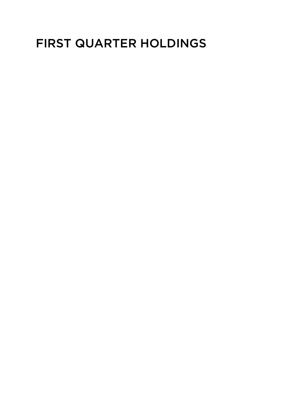## FIRST QUARTER HOLDINGS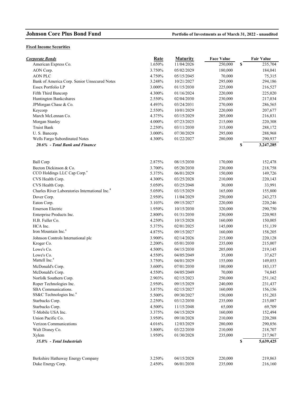## **Fixed Income Securities**

| <b>Corporate Bonds</b>                                     | <b>Rate</b> | <b>Maturity</b>          | <b>Face Value</b> |    | <b>Fair Value</b> |
|------------------------------------------------------------|-------------|--------------------------|-------------------|----|-------------------|
| American Express Co.                                       | 1.650%      | 11/04/2026               | 250,000           | \$ | 235,704           |
| AON Corp.                                                  | 3.750%      | 05/02/2029               | 180,000           |    | 184,041           |
| <b>AON PLC</b>                                             | 4.750%      | 05/15/2045               | 70,000            |    | 75,315            |
| Bank of America Corp. Senior Unsecured Notes               | 3.248%      | 10/21/2027               | 295,000           |    | 294,186           |
| Essex Portfolio LP                                         | 3.000%      | 01/15/2030               | 225,000           |    | 216,527           |
| Fifth Third Bancorp                                        | 4.300%      | 01/16/2024               | 220,000           |    | 225,020           |
| Huntington Bankcshares                                     | 2.550%      | 02/04/2030               | 230,000           |    | 217,034           |
| JPMorgan Chase & Co.                                       | 4.493%      | 03/24/2031               | 270,000           |    | 286,565           |
| Keycorp                                                    | 2.550%      | 10/01/2029               | 220,000           |    | 207,677           |
| March McLennan Co.                                         | 4.375%      | 03/15/2029               | 205,000           |    | 216,831           |
| Morgan Stanley                                             | 4.000%      | 07/23/2025               | 215,000           |    | 220,308           |
| <b>Truist Bank</b>                                         | 2.250%      | 03/11/2030               | 315,000           |    | 288,172           |
| U.S. Bancorp.                                              | 3.000%      | 07/30/2029               | 295,000           |    | 288,968           |
| Wells Fargo Subordinated Notes                             | 4.300%      | 01/22/2027               | 280,000           |    | 290,937           |
| 20.6% - Total Bank and Finance                             |             |                          |                   | S  | 3,247,285         |
|                                                            |             |                          |                   |    |                   |
| <b>Ball Corp</b>                                           | 2.875%      | 08/15/2030               | 170,000           |    | 152,478           |
| Becton Dickinson & Co.                                     | 3.700%      | 05/20/2030               | 230,000           |    | 218,758           |
| CCO Holdings LLC Cap Corp. <sup>a</sup>                    | 5.375%      | 06/01/2029               | 150,000           |    | 149,726           |
| CVS Health Corp.                                           | 4.300%      | 03/25/2028               | 210,000           |    | 220,143           |
| CVS Health Corp.                                           | 5.050%      | 03/25/2048               | 30,000            |    | 33,991            |
| Charles River Laboratories International Inc. <sup>a</sup> | 5.050%      | 03/15/2029               | 165,000           |    | 155,800           |
| Dover Corp.                                                | 2.950%      | 11/04/2029               | 250,000           |    | 243,273           |
| Eaton Corp.                                                | 3.103%      | 09/15/2027               | 220,000           |    | 220,246           |
| Emerson Electric                                           | 1.950%      | 10/15/2030               | 320,000           |    | 290,750           |
| Enterprise Products Inc.                                   | 2.800%      | 01/31/2030               | 230,000           |    | 220,903           |
| H.B. Fuller Co.                                            | 4.250%      | 10/15/2028               | 160,000           |    | 150,005           |
| HCA Inc.                                                   | 5.375%      | 02/01/2025               | 145,000           |    | 151,139           |
| Iron Mountain Inc. <sup>a</sup>                            | 4.875%      | 09/15/2027               | 160,000           |    | 158,205           |
| Johnson Controls International plc                         | 3.900%      | 02/14/2026               | 215,000           |    | 220,128           |
| Kroger Co.                                                 | 2.200%      | 05/01/2030               | 235,000           |    | 215,007           |
| Lowe's Co.                                                 | 4.500%      | 04/15/2030               | 205,000           |    | 219,145           |
| Lowe's Co.                                                 | 4.550%      | 04/05/2049               | 35,000            |    | 37,627            |
| Mattell Inc. <sup>ª</sup>                                  | 3.750%      | 04/01/2029               | 155,000           |    | 149,053           |
| McDonald's Corp.                                           | 3.600%      | 07/01/2030               | 180,000           |    | 183,137           |
| McDonald's Corp.                                           | 4.550%      | 04/05/2049               | 70,000            |    | 74,845            |
| Norfolk Southern Corp.                                     | 2.903%      | 02/15/2023               | 250,000           |    | 251,162           |
| Roper Technologies Inc.                                    | 2.950%      | 09/15/2029               | 240,000           |    | 231,437           |
| SBA Communications.                                        | 3.875%      | 02/15/2027               | 160,000           |    | 156,156           |
| SS&C Technologies Inc. <sup>a</sup>                        | 5.500%      | 09/30/2027               | 150,000           |    | 151,203           |
| Starbucks Corp.                                            | 2.250%      | 03/12/2030               | 235,000           |    | 215,087           |
| Starbucks Corp.                                            | 4.500%      |                          |                   |    |                   |
| T-Mobile USA Inc.                                          | 3.375%      | 11/15/2048<br>04/15/2029 | 65,000<br>160,000 |    | 69,709<br>152,494 |
| Union Pacific Co.                                          | 3.950%      | 09/10/2028               | 210,000           |    | 220,288           |
| Verizon Communications                                     | 4.016%      | 12/03/2029               | 280,000           |    | 290,856           |
| Walt Disney Co.                                            | 3.800%      | 03/22/2030               | 210,000           |    | 218,707           |
| Xylem                                                      | 1.950%      | 01/30/2028               | 235,000           |    | 217,967           |
|                                                            |             |                          |                   |    |                   |
| 35.8% - Total Industrials                                  |             |                          |                   | \$ | 5,639,425         |
| Berkshire Hathaway Energy Company                          | 3.250%      | 04/15/2028               | 220,000           |    | 219,863           |
| Duke Energy Corp.                                          | 2.450%      | 06/01/2030               | 235,000           |    | 216,160           |
|                                                            |             |                          |                   |    |                   |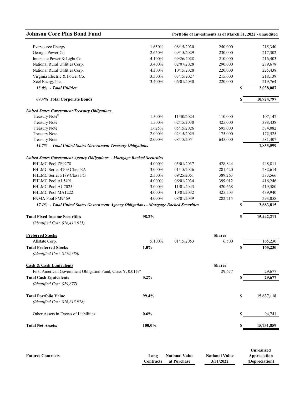| <b>Eversource Energy</b><br>Georgia Power Co.<br>Interstate Power & Light Co.<br>National Rural Utilities Corp.<br>National Rural Utilities Corp. | 1.650%<br>2.650% | 08/15/2030 | 250,000       |    |            |
|---------------------------------------------------------------------------------------------------------------------------------------------------|------------------|------------|---------------|----|------------|
|                                                                                                                                                   |                  |            |               |    | 215,340    |
|                                                                                                                                                   |                  | 09/15/2029 | 230,000       |    | 217,302    |
|                                                                                                                                                   | 4.100%           | 09/26/2028 | 210,000       |    | 216,403    |
|                                                                                                                                                   | 3.400%           | 02/07/2028 | 290,000       |    | 289,678    |
|                                                                                                                                                   | 4.300%           | 10/15/2028 | 220,000       |    | 225,438    |
| Virginia Electric & Power Co.                                                                                                                     | 3.500%           | 03/15/2027 | 215,000       |    | 218,139    |
| Xcel Energy Inc.                                                                                                                                  | 3.400%           | 06/01/2030 | 220,000       |    | 219,764    |
| 13.0% - Total Utilities                                                                                                                           |                  |            |               | S  | 2,038,087  |
| 69.4% Total Corporate Bonds                                                                                                                       |                  |            |               |    | 10,924,797 |
| <b>United States Government Treasury Obligations</b>                                                                                              |                  |            |               |    |            |
| Treasury Note <sup>b</sup>                                                                                                                        | 1.500%           | 11/30/2024 | 110,000       |    | 107,147    |
| <b>Treasury Note</b>                                                                                                                              | 1.500%           | 02/15/2030 | 425,000       |    | 398,438    |
| <b>Treasury Note</b>                                                                                                                              | 1.625%           | 05/15/2026 | 595,000       |    | 574,082    |
| <b>Treasury Note</b>                                                                                                                              | 2.000%           | 02/15/2025 | 175,000       |    | 172,525    |
| <b>Treasury Note</b>                                                                                                                              | 2.000%           | 08/15/2051 | 645,000       |    | 581,407    |
| 11.7% - Total United States Government Treasury Obligations                                                                                       |                  |            |               |    | 1,833,599  |
| <b>United States Government Agency Obligations - Mortgage Backed Securities</b>                                                                   |                  |            |               |    |            |
| FHLMC Pool ZS9278                                                                                                                                 | 4.000%           | 05/01/2037 | 428,844       |    | 448,811    |
| FHLMC Series 4709 Class EA                                                                                                                        | 3.000%           | 01/15/2046 | 281,620       |    | 282,614    |
| FHLMC Series 5189 Class PG                                                                                                                        | 2.500%           | 09/25/2051 | 389,263       |    | 383,566    |
| FHLMC Pool AL5491                                                                                                                                 | 4.000%           | 06/01/2034 | 399,012       |    | 416,246    |
| FHLMC Pool AU7025                                                                                                                                 | 3.000%           | 11/01/2043 | 420,668       |    | 419,580    |
| FHLMC Pool MA1222                                                                                                                                 | 4.000%           | 10/01/2032 | 425,503       |    | 439,940    |
| FNMA Pool FM9469                                                                                                                                  | 4.000%           | 08/01/2039 | 282,215       |    | 293,058    |
| 17.1% - Total United States Government Agency Obligations - Mortgage Backed Securities                                                            |                  |            |               | \$ | 2,683,815  |
| 98.2%<br><b>Total Fixed Income Securities</b>                                                                                                     |                  |            |               | S  | 15,442,211 |
| (Identified Cost \$16,413,915)                                                                                                                    |                  |            |               |    |            |
|                                                                                                                                                   |                  |            |               |    |            |
| <b>Preferred Stocks</b>                                                                                                                           |                  |            | <b>Shares</b> |    |            |
| Allstate Corp.                                                                                                                                    | 5.100%           | 01/15/2053 | 6,500         |    | 165,230    |
| <b>Total Preferred Stocks</b><br>1.0%<br>(Identified Cost \$170,386)                                                                              |                  |            |               | \$ | 165,230    |
| <b>Cash &amp; Cash Equivalents</b>                                                                                                                |                  |            | <b>Shares</b> |    |            |
| First American Government Obligation Fund, Class Y, 0.01%*                                                                                        |                  |            | 29,677        |    | 29,677     |
| <b>Total Cash Equivalents</b><br>$0.2\%$                                                                                                          |                  |            |               | S  | 29,677     |
| (Identified Cost \$29,677)                                                                                                                        |                  |            |               |    |            |
|                                                                                                                                                   |                  |            |               |    |            |
| <b>Total Portfolio Value</b><br>99.4%<br>(Identified Cost \$16,613,978)                                                                           |                  |            |               | \$ | 15,637,118 |
| Other Assets in Excess of Liabilities<br>$0.6\%$                                                                                                  |                  |            |               | \$ | 94,741     |
| <b>Total Net Assets:</b><br>100.0%                                                                                                                |                  |            |               | \$ | 15,731,859 |

|                          |      |                              |                       | <b>Unrealized</b> |
|--------------------------|------|------------------------------|-----------------------|-------------------|
| <b>Futures Contracts</b> | Long | <b>Notional Value</b>        | <b>Notional Value</b> | Appreciation      |
|                          |      | <b>Contracts</b> at Purchase | 3/31/2022             | (Depreciation)    |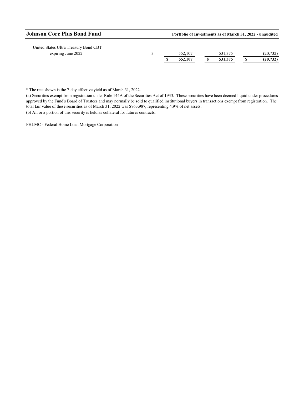| <b>Johnson Core Plus Bond Fund</b> |  |         |  | Portfolio of Investments as of March 31, 2022 - unaudited |  |           |  |  |  |  |
|------------------------------------|--|---------|--|-----------------------------------------------------------|--|-----------|--|--|--|--|
|                                    |  | 552,107 |  | 531,375                                                   |  | (20, 732) |  |  |  |  |
|                                    |  | 552,107 |  | 531.375                                                   |  | (20, 732) |  |  |  |  |
|                                    |  |         |  |                                                           |  |           |  |  |  |  |

\* The rate shown is the 7-day effective yield as of March 31, 2022.

(a) Securities exempt from registration under Rule 144A of the Securities Act of 1933. These securities have been deemed liquid under procedures approved by the Fund's Board of Trustees and may normally be sold to qualified institutional buyers in transactions exempt from registration. The total fair value of these securities as of March 31, 2022 was \$763,987, representing 4.9% of net assets.

(b) All or a portion of this security is held as collateral for futures contracts.

FHLMC - Federal Home Loan Mortgage Corporation